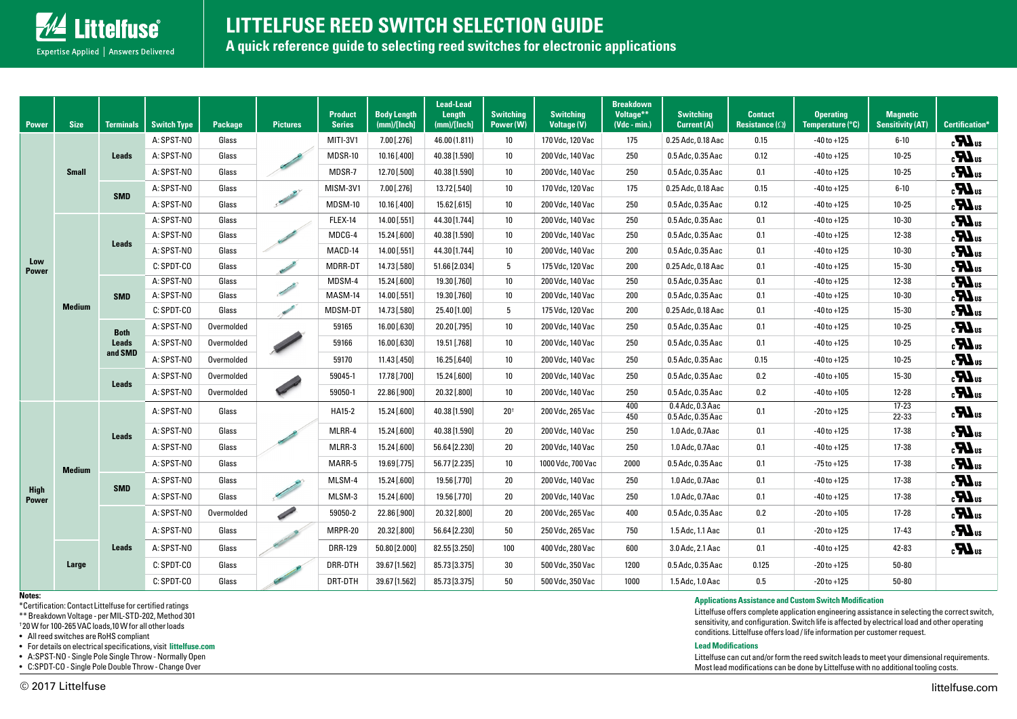

# **LITTELFUSE REED SWITCH SELECTION GUIDE**

**A quick reference guide to selecting reed switches for electronic applications**

| <b>Power</b>                | <b>Size</b>   | <b>Terminals</b>                       | <b>Switch Type</b> | <b>Package</b> | <b>Pictures</b>                                                                                                                                                                                                                      | <b>Product</b><br><b>Series</b> | <b>Body Length</b><br>(mm)/[Inch] | <b>Lead-Lead</b><br>Length<br>(mm)/[Inch] | <b>Switching</b><br>Power (W) | <b>Switching</b><br><b>Voltage (V)</b> | <b>Breakdown</b><br>Voltage**<br>$(Vdc - min.)$ | <b>Switching</b><br>Current (A)           | <b>Contact</b><br>Resistance $(\Omega)$ | <b>Operating</b><br>Temperature (°C) | <b>Magnetic</b><br><b>Sensitivity (AT)</b> | <b>Certification*</b>             |
|-----------------------------|---------------|----------------------------------------|--------------------|----------------|--------------------------------------------------------------------------------------------------------------------------------------------------------------------------------------------------------------------------------------|---------------------------------|-----------------------------------|-------------------------------------------|-------------------------------|----------------------------------------|-------------------------------------------------|-------------------------------------------|-----------------------------------------|--------------------------------------|--------------------------------------------|-----------------------------------|
| Low<br><b>Power</b>         | <b>Small</b>  | <b>Leads</b>                           | A: SPST-NO         | Glass          |                                                                                                                                                                                                                                      | MITI-3V1                        | 7.00 [.276]                       | 46.00 (1.811)                             | 10 <sup>°</sup>               | 170 Vdc, 120 Vac                       | 175                                             | 0.25 Adc, 0.18 Aac                        | 0.15                                    | $-40$ to $+125$                      | $6 - 10$                                   | $\boldsymbol{H}_3$                |
|                             |               |                                        | A: SPST-NO         | Glass          |                                                                                                                                                                                                                                      | MDSR-10                         | 10.16 [.400]                      | 40.38 [1.590]                             | 10                            | 200 Vdc, 140 Vac                       | 250                                             | 0.5 Adc, 0.35 Aac                         | 0.12                                    | $-40$ to $+125$                      | $10 - 25$                                  | $\mathbf{u}$                      |
|                             |               |                                        | A: SPST-NO         | Glass          |                                                                                                                                                                                                                                      | MDSR-7                          | 12.70 [.500]                      | 40.38 [1.590]                             | 10 <sup>°</sup>               | 200 Vdc, 140 Vac                       | 250                                             | 0.5 Adc, 0.35 Aac                         | 0.1                                     | $-40$ to $+125$                      | $10 - 25$                                  | $\mathbf{u}$                      |
|                             |               | <b>SMD</b>                             | A: SPST-NO         | Glass          | Charles Report                                                                                                                                                                                                                       | MISM-3V1                        | 7.00 [.276]                       | 13.72 [.540]                              | 10 <sup>°</sup>               | 170 Vdc, 120 Vac                       | 175                                             | 0.25 Adc, 0.18 Aac                        | 0.15                                    | $-40$ to $+125$                      | $6 - 10$                                   | $\mathbf{u}$                      |
|                             |               |                                        | A: SPST-NO         | Glass          |                                                                                                                                                                                                                                      | MDSM-10                         | 10.16 [.400]                      | 15.62 [.615]                              | 10                            | 200 Vdc, 140 Vac                       | 250                                             | 0.5 Adc, 0.35 Aac                         | 0.12                                    | $-40$ to $+125$                      | $10 - 25$                                  | $\mathbf{u}$                      |
|                             | <b>Medium</b> | <b>Leads</b>                           | A: SPST-NO         | Glass          |                                                                                                                                                                                                                                      | FLEX-14                         | 14.00 [.551]                      | 44.30 [1.744]                             | 10                            | 200 Vdc, 140 Vac                       | 250                                             | 0.5 Adc, 0.35 Aac                         | 0.1                                     | $-40$ to $+125$                      | $10 - 30$                                  | $\overline{\mathbf{R}}$           |
|                             |               |                                        | A: SPST-NO         | Glass          |                                                                                                                                                                                                                                      | MDCG-4                          | 15.24 [.600]                      | 40.38 [1.590]                             | 10                            | 200 Vdc, 140 Vac                       | 250                                             | 0.5 Adc, 0.35 Aac                         | 0.1                                     | $-40$ to $+125$                      | 12-38                                      | $\boldsymbol{H}_3$                |
|                             |               |                                        | A: SPST-NO         | Glass          |                                                                                                                                                                                                                                      | MACD-14                         | 14.00 [.551]                      | 44.30 [1.744]                             | 10                            | 200 Vdc, 140 Vac                       | 200                                             | 0.5 Adc, 0.35 Aac                         | 0.1                                     | $-40$ to $+125$                      | $10 - 30$                                  | $\boldsymbol{M}_3$                |
|                             |               |                                        | C: SPDT-CO         | Glass          | <b>Contract Contract Contract Contract Contract Contract Contract Contract Contract Contract Contract Contract C</b>                                                                                                                 | MDRR-DT                         | 14.73 [.580]                      | 51.66 [2.034]                             | 5                             | 175 Vdc, 120 Vac                       | 200                                             | 0.25 Adc, 0.18 Aac                        | 0.1                                     | $-40$ to $+125$                      | $15 - 30$                                  | $\mathbf{H}_3$                    |
|                             |               | <b>SMD</b>                             | A: SPST-NO         | Glass          | <b>Contract Contract Contract Contract Contract Contract Contract Contract Contract Contract Contract Contract Contract Contract Contract Contract Contract Contract Contract Contract Contract Contract Contract Contract Contr</b> | MDSM-4                          | 15.24 [.600]                      | 19.30 [.760]                              | 10 <sup>°</sup>               | 200 Vdc, 140 Vac                       | 250                                             | 0.5 Adc, 0.35 Aac                         | 0.1                                     | $-40$ to $+125$                      | 12-38                                      | $\overline{\mathbf{u}}$ as        |
|                             |               |                                        | A: SPST-NO         | Glass          |                                                                                                                                                                                                                                      | MASM-14                         | 14.00 [.551]                      | 19.30 [.760]                              | 10                            | 200 Vdc, 140 Vac                       | 200                                             | 0.5 Adc, 0.35 Aac                         | 0.1                                     | $-40$ to $+125$                      | $10 - 30$                                  | $\boldsymbol{H}_3$                |
|                             |               |                                        | C: SPDT-CO         | Glass          | <b>Contract Contract Contract Contract Contract Contract Contract Contract Contract Contract Contract Contract Contract Contract Contract Contract Contract Contract Contract Contract Contract Contract Contract Contract Contr</b> | MDSM-D1                         | 14.73 [.580]                      | 25.40 [1.00]                              | 5                             | 175 Vdc, 120 Vac                       | 200                                             | 0.25 Adc, 0.18 Aac                        | 0.1                                     | $-40$ to $+125$                      | $15 - 30$                                  | $\boldsymbol{H}$ <sub>3</sub>     |
|                             |               | <b>Both</b><br><b>Leads</b><br>and SMD | A: SPST-NO         | Overmolded     |                                                                                                                                                                                                                                      | 59165                           | 16.00 [.630]                      | 20.20 [.795]                              | 10                            | 200 Vdc, 140 Vac                       | 250                                             | 0.5 Adc, 0.35 Aac                         | 0.1                                     | $-40$ to $+125$                      | $10 - 25$                                  | $\mathbf{u}$                      |
|                             |               |                                        | A: SPST-NO         | Overmolded     |                                                                                                                                                                                                                                      | 59166                           | 16.00 [.630]                      | 19.51 [.768]                              | 10                            | 200 Vdc, 140 Vac                       | 250                                             | 0.5 Adc, 0.35 Aac                         | 0.1                                     | $-40$ to $+125$                      | $10 - 25$                                  | $\epsilon$ <b>M</b> <sub>us</sub> |
|                             |               |                                        | A: SPST-NO         | Overmolded     |                                                                                                                                                                                                                                      | 59170                           | 11.43 [.450]                      | 16.25 [.640]                              | 10 <sup>°</sup>               | 200 Vdc, 140 Vac                       | 250                                             | 0.5 Adc, 0.35 Aac                         | 0.15                                    | $-40$ to $+125$                      | $10 - 25$                                  | $\mathbf{u}$                      |
|                             |               | <b>Leads</b>                           | A: SPST-NO         | Overmolded     | $\mathscr{L}$                                                                                                                                                                                                                        | 59045-1                         | 17.78 [.700]                      | 15.24 [.600]                              | 10 <sup>°</sup>               | 200 Vdc, 140 Vac                       | 250                                             | 0.5 Adc, 0.35 Aac                         | 0.2                                     | $-40$ to $+105$                      | $15 - 30$                                  | $\boldsymbol{M}_3$                |
|                             |               |                                        | A: SPST-NO         | Overmolded     |                                                                                                                                                                                                                                      | 59050-1                         | 22.86 [.900]                      | 20.32 [.800]                              | 10 <sup>°</sup>               | 200 Vdc, 140 Vac                       | 250                                             | 0.5 Adc, 0.35 Aac                         | 0.2                                     | $-40$ to $+105$                      | $12 - 28$                                  | $\mathbf{u}$                      |
|                             | <b>Medium</b> | <b>Leads</b>                           | A: SPST-NO         | Glass          |                                                                                                                                                                                                                                      | HA15-2                          | 15.24 [.600]                      | 40.38 [1.590]                             | 20 <sup>†</sup>               | 200 Vdc, 265 Vac                       | 400<br>450                                      | $0.4$ Adc, $0.3$ Aac<br>0.5 Adc, 0.35 Aac | 0.1                                     | $-20$ to $+125$                      | $17 - 23$<br>22-33                         | $\boldsymbol{H}_3$                |
|                             |               |                                        | A: SPST-NO         | Glass          |                                                                                                                                                                                                                                      | MLRR-4                          | 15.24 [.600]                      | 40.38 [1.590]                             | 20                            | 200 Vdc, 140 Vac                       | 250                                             | 1.0 Adc, 0.7Aac                           | 0.1                                     | $-40$ to $+125$                      | 17-38                                      | $\mathbf{u}$                      |
| <b>High</b><br><b>Power</b> |               |                                        | A: SPST-NO         | Glass          |                                                                                                                                                                                                                                      | MLRR-3                          | 15.24 [.600]                      | 56.64 [2.230]                             | 20                            | 200 Vdc, 140 Vac                       | 250                                             | 1.0 Adc, 0.7 Aac                          | 0.1                                     | $-40$ to $+125$                      | 17-38                                      | $\boldsymbol{H}_3$                |
|                             |               |                                        | A: SPST-NO         | Glass          |                                                                                                                                                                                                                                      | MARR-5                          | 19.69 [.775]                      | 56.77 [2.235]                             | 10 <sup>°</sup>               | 1000 Vdc, 700 Vac                      | 2000                                            | 0.5 Adc, 0.35 Aac                         | 0.1                                     | $-75$ to $+125$                      | 17-38                                      | $\mathbf{z}$                      |
|                             |               | <b>SMD</b>                             | A: SPST-NO         | Glass          | L                                                                                                                                                                                                                                    | MLSM-4                          | 15.24 [.600]                      | 19.56 [.770]                              | 20                            | 200 Vdc, 140 Vac                       | 250                                             | 1.0 Adc, 0.7 Aac                          | 0.1                                     | $-40$ to $+125$                      | 17-38                                      | $\boldsymbol{M}_3$                |
|                             |               |                                        | A: SPST-NO         | Glass          |                                                                                                                                                                                                                                      | MLSM-3                          | 15.24 [.600]                      | 19.56 [.770]                              | 20                            | 200 Vdc, 140 Vac                       | 250                                             | 1.0 Adc, 0.7 Aac                          | 0.1                                     | $-40$ to $+125$                      | 17-38                                      | $\boldsymbol{H}$ <sub>3</sub>     |
|                             |               | <b>Leads</b>                           | A: SPST-NO         | Overmolded     | <b>Contract Contract Contract Contract Contract Contract Contract Contract Contract Contract Contract Contract Contract Contract Contract Contract Contract Contract Contract Contract Contract Contract Contract Contract Contr</b> | 59050-2                         | 22.86 [.900]                      | 20.32 [.800]                              | 20                            | 200 Vdc, 265 Vac                       | 400                                             | 0.5 Adc, 0.35 Aac                         | 0.2                                     | $-20$ to $+105$                      | $17 - 28$                                  | $\boldsymbol{H}_3$                |
|                             |               |                                        | A: SPST-NO         | Glass          |                                                                                                                                                                                                                                      | MRPR-20                         | 20.32 [.800]                      | 56.64 [2.230]                             | 50                            | 250 Vdc, 265 Vac                       | 750                                             | 1.5 Adc, 1.1 Aac                          | 0.1                                     | $-20t0 + 125$                        | $17 - 43$                                  | $\boldsymbol{M}_3$                |
|                             | Large         |                                        | A: SPST-NO         | Glass          |                                                                                                                                                                                                                                      | <b>DRR-129</b>                  | 50.80 [2.000]                     | 82.55 [3.250]                             | 100                           | 400 Vdc, 280 Vac                       | 600                                             | 3.0 Adc, 2.1 Aac                          | 0.1                                     | $-40$ to $+125$                      | 42-83                                      | $\epsilon$ <b>M</b> <sub>us</sub> |
|                             |               |                                        | C: SPDT-CO         | Glass          |                                                                                                                                                                                                                                      | DRR-DTH                         | 39.67 [1.562]                     | 85.73 [3.375]                             | 30                            | 500 Vdc, 350 Vac                       | 1200                                            | 0.5 Adc, 0.35 Aac                         | 0.125                                   | $-20$ to $+125$                      | 50-80                                      |                                   |
|                             |               |                                        | C: SPDT-CO         | Glass          |                                                                                                                                                                                                                                      | DRT-DTH                         | 39.67 [1.562]                     | 85.73 [3.375]                             | 50                            | 500 Vdc, 350 Vac                       | 1000                                            | 1.5 Adc, 1.0 Aac                          | 0.5                                     | $-20$ to $+125$                      | $50 - 80$                                  |                                   |

#### **Notes:**

\*Certification: Contact Littelfuse for certified ratings

\*\* Breakdown Voltage - per MIL-STD-202, Method 301

† 20 W for 100-265 VAC loads,10 W for all other loads

• All reed switches are RoHS compliant

• For details on electrical specifications, visit **[littelfuse.com](http://www.littelfuse.com)**

• A:SPST-NO - Single Pole Single Throw - Normally Open

• C:SPDT-CO - Single Pole Double Throw - Change Over

#### **Applications Assistance and Custom Switch Modification**

Littelfuse offers complete application engineering assistance in selecting the correct switch, sensitivity, and configuration. Switch life is affected by electrical load and other operating conditions. Littelfuse offers load / life information per customer request.

#### **Lead Modifications**

Littelfuse can cut and/or form the reed switch leads to meet your dimensional requirements. Most lead modifications can be done by Littelfuse with no additional tooling costs.